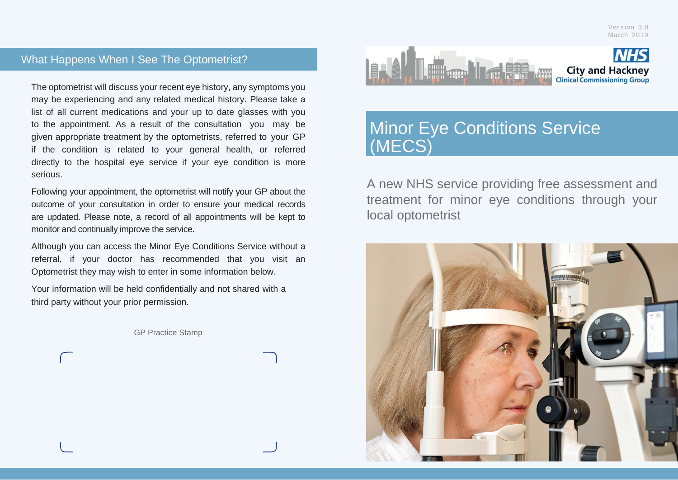## What Happens When I See The Optometrist?

The optometrist will discuss your recent eye history, any symptoms you may be experiencing and any related medical history. Please take a list of all current medications and your up to date glasses with you to the appointment. As a result of the consultation you may be given appropriate treatment by the optometrists, referred to your GP if the condition is related to your general health, or referred directly to the hospital eye service if your eye condition is more serious.

Following your appointment, the optometrist will notify your GP about the outcome of your consultation in order to ensure your medical records are updated. Please note, a record of all appointments will be kept to monitor and continually improve the service.

Although you can access the Minor Eye Conditions Service without a referral, if your doctor has recommended that you visit an Optometrist they may wish to enter in some information below.

Your information will be held confidentially and not shared with a third party without your prior permission.

GP Practice Stamp



# Minor Eye Conditions Service (MECS)

A new NHS service providing free assessment and treatment for minor eye conditions through your local optometrist